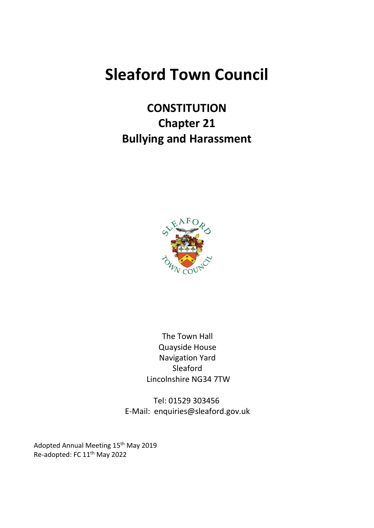# **Sleaford Town Council**

**CONSTITUTION Chapter 21 Bullying and Harassment**



The Town Hall Quayside House Navigation Yard Sleaford Lincolnshire NG34 7TW

Tel: 01529 303456 E-Mail: enquiries@sleaford.gov.uk

Adopted Annual Meeting 15<sup>th</sup> May 2019 Re-adopted: FC 11<sup>th</sup> May 2022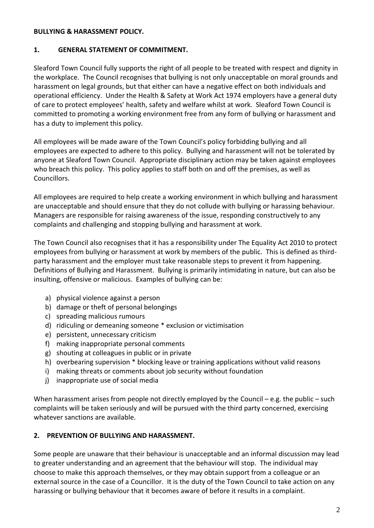#### **BULLYING & HARASSMENT POLICY.**

#### **1. GENERAL STATEMENT OF COMMITMENT.**

Sleaford Town Council fully supports the right of all people to be treated with respect and dignity in the workplace. The Council recognises that bullying is not only unacceptable on moral grounds and harassment on legal grounds, but that either can have a negative effect on both individuals and operational efficiency. Under the Health & Safety at Work Act 1974 employers have a general duty of care to protect employees' health, safety and welfare whilst at work. Sleaford Town Council is committed to promoting a working environment free from any form of bullying or harassment and has a duty to implement this policy.

All employees will be made aware of the Town Council's policy forbidding bullying and all employees are expected to adhere to this policy. Bullying and harassment will not be tolerated by anyone at Sleaford Town Council. Appropriate disciplinary action may be taken against employees who breach this policy. This policy applies to staff both on and off the premises, as well as Councillors.

All employees are required to help create a working environment in which bullying and harassment are unacceptable and should ensure that they do not collude with bullying or harassing behaviour. Managers are responsible for raising awareness of the issue, responding constructively to any complaints and challenging and stopping bullying and harassment at work.

The Town Council also recognises that it has a responsibility under The Equality Act 2010 to protect employees from bullying or harassment at work by members of the public. This is defined as thirdparty harassment and the employer must take reasonable steps to prevent it from happening. Definitions of Bullying and Harassment. Bullying is primarily intimidating in nature, but can also be insulting, offensive or malicious. Examples of bullying can be:

- a) physical violence against a person
- b) damage or theft of personal belongings
- c) spreading malicious rumours
- d) ridiculing or demeaning someone \* exclusion or victimisation
- e) persistent, unnecessary criticism
- f) making inappropriate personal comments
- g) shouting at colleagues in public or in private
- h) overbearing supervision \* blocking leave or training applications without valid reasons
- i) making threats or comments about job security without foundation
- j) inappropriate use of social media

When harassment arises from people not directly employed by the Council – e.g. the public – such complaints will be taken seriously and will be pursued with the third party concerned, exercising whatever sanctions are available.

#### **2. PREVENTION OF BULLYING AND HARASSMENT.**

Some people are unaware that their behaviour is unacceptable and an informal discussion may lead to greater understanding and an agreement that the behaviour will stop. The individual may choose to make this approach themselves, or they may obtain support from a colleague or an external source in the case of a Councillor. It is the duty of the Town Council to take action on any harassing or bullying behaviour that it becomes aware of before it results in a complaint.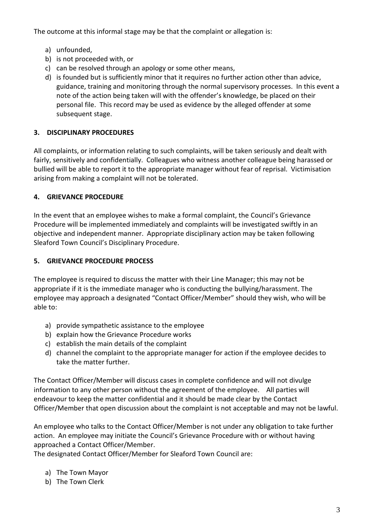The outcome at this informal stage may be that the complaint or allegation is:

- a) unfounded,
- b) is not proceeded with, or
- c) can be resolved through an apology or some other means,
- d) is founded but is sufficiently minor that it requires no further action other than advice, guidance, training and monitoring through the normal supervisory processes. In this event a note of the action being taken will with the offender's knowledge, be placed on their personal file. This record may be used as evidence by the alleged offender at some subsequent stage.

## **3. DISCIPLINARY PROCEDURES**

All complaints, or information relating to such complaints, will be taken seriously and dealt with fairly, sensitively and confidentially. Colleagues who witness another colleague being harassed or bullied will be able to report it to the appropriate manager without fear of reprisal. Victimisation arising from making a complaint will not be tolerated.

## **4. GRIEVANCE PROCEDURE**

In the event that an employee wishes to make a formal complaint, the Council's Grievance Procedure will be implemented immediately and complaints will be investigated swiftly in an objective and independent manner. Appropriate disciplinary action may be taken following Sleaford Town Council's Disciplinary Procedure.

#### **5. GRIEVANCE PROCEDURE PROCESS**

The employee is required to discuss the matter with their Line Manager; this may not be appropriate if it is the immediate manager who is conducting the bullying/harassment. The employee may approach a designated "Contact Officer/Member" should they wish, who will be able to:

- a) provide sympathetic assistance to the employee
- b) explain how the Grievance Procedure works
- c) establish the main details of the complaint
- d) channel the complaint to the appropriate manager for action if the employee decides to take the matter further.

The Contact Officer/Member will discuss cases in complete confidence and will not divulge information to any other person without the agreement of the employee. All parties will endeavour to keep the matter confidential and it should be made clear by the Contact Officer/Member that open discussion about the complaint is not acceptable and may not be lawful.

An employee who talks to the Contact Officer/Member is not under any obligation to take further action. An employee may initiate the Council's Grievance Procedure with or without having approached a Contact Officer/Member.

The designated Contact Officer/Member for Sleaford Town Council are:

- a) The Town Mayor
- b) The Town Clerk